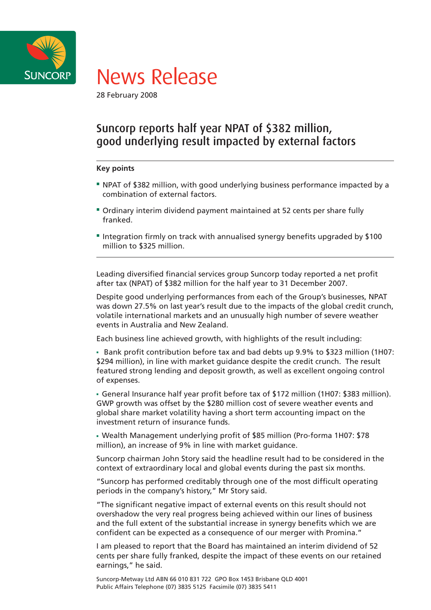



28 February 2008

# Suncorp reports half year NPAT of \$382 million, good underlying result impacted by external factors

### **Key points**

- NPAT of \$382 million, with good underlying business performance impacted by a combination of external factors.
- Ordinary interim dividend payment maintained at 52 cents per share fully franked.
- Integration firmly on track with annualised synergy benefits upgraded by \$100 million to \$325 million.

Leading diversified financial services group Suncorp today reported a net profit after tax (NPAT) of \$382 million for the half year to 31 December 2007.

Despite good underlying performances from each of the Group's businesses, NPAT was down 27.5% on last year's result due to the impacts of the global credit crunch, volatile international markets and an unusually high number of severe weather events in Australia and New Zealand.

Each business line achieved growth, with highlights of the result including:

Bank profit contribution before tax and bad debts up 9.9% to \$323 million (1H07: \$294 million), in line with market guidance despite the credit crunch. The result featured strong lending and deposit growth, as well as excellent ongoing control of expenses.

General Insurance half year profit before tax of \$172 million (1H07: \$383 million). GWP growth was offset by the \$280 million cost of severe weather events and global share market volatility having a short term accounting impact on the investment return of insurance funds.

- Wealth Management underlying profit of \$85 million (Pro-forma 1H07: \$78 million), an increase of 9% in line with market guidance.

Suncorp chairman John Story said the headline result had to be considered in the context of extraordinary local and global events during the past six months.

"Suncorp has performed creditably through one of the most difficult operating periods in the company's history," Mr Story said.

"The significant negative impact of external events on this result should not overshadow the very real progress being achieved within our lines of business and the full extent of the substantial increase in synergy benefits which we are confident can be expected as a consequence of our merger with Promina."

I am pleased to report that the Board has maintained an interim dividend of 52 cents per share fully franked, despite the impact of these events on our retained earnings," he said.

Suncorp-Metway Ltd ABN 66 010 831 722 GPO Box 1453 Brisbane QLD 4001 Public Affairs Telephone (07) 3835 5125 Facsimile (07) 3835 5411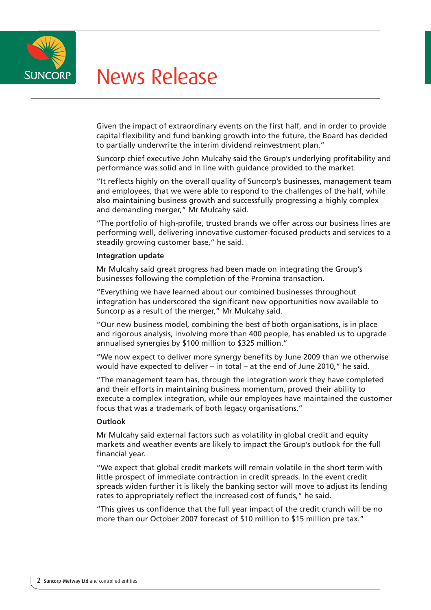

# News Release

Given the impact of extraordinary events on the first half, and in order to provide capital flexibility and fund banking growth into the future, the Board has decided to partially underwrite the interim dividend reinvestment plan."

Suncorp chief executive John Mulcahy said the Group's underlying profitability and performance was solid and in line with guidance provided to the market.

"It reflects highly on the overall quality of Suncorp's businesses, management team and employees, that we were able to respond to the challenges of the half, while also maintaining business growth and successfully progressing a highly complex and demanding merger," Mr Mulcahy said.

"The portfolio of high-profile, trusted brands we offer across our business lines are performing well, delivering innovative customer-focused products and services to a steadily growing customer base," he said.

#### **Integration update**

Mr Mulcahy said great progress had been made on integrating the Group's businesses following the completion of the Promina transaction.

"Everything we have learned about our combined businesses throughout integration has underscored the significant new opportunities now available to Suncorp as a result of the merger," Mr Mulcahy said.

"Our new business model, combining the best of both organisations, is in place and rigorous analysis, involving more than 400 people, has enabled us to upgrade annualised synergies by \$100 million to \$325 million."

"We now expect to deliver more synergy benefits by June 2009 than we otherwise would have expected to deliver – in total – at the end of June 2010," he said.

"The management team has, through the integration work they have completed and their efforts in maintaining business momentum, proved their ability to execute a complex integration, while our employees have maintained the customer focus that was a trademark of both legacy organisations."

### **Outlook**

Mr Mulcahy said external factors such as volatility in global credit and equity markets and weather events are likely to impact the Group's outlook for the full financial year.

"We expect that global credit markets will remain volatile in the short term with little prospect of immediate contraction in credit spreads. In the event credit spreads widen further it is likely the banking sector will move to adjust its lending rates to appropriately reflect the increased cost of funds," he said.

"This gives us confidence that the full year impact of the credit crunch will be no more than our October 2007 forecast of \$10 million to \$15 million pre tax."